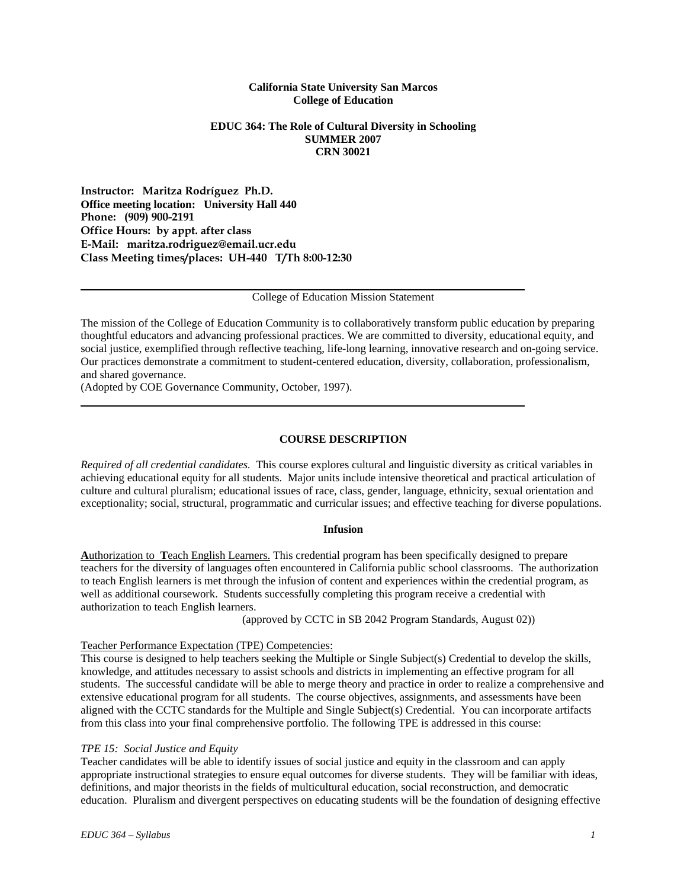# **California State University San Marcos College of Education**

# **EDUC 364: The Role of Cultural Diversity in Schooling SUMMER 2007 CRN 30021**

**Instructor: Maritza Rodríguez Ph.D. Office meeting location: University Hall 440 Phone: (909) 900-2191 Office Hours: by appt. after class E-Mail: maritza.rodriguez@email.ucr.edu Class Meeting times/places: UH-440 T/Th 8:00-12:30** 

College of Education Mission Statement

The mission of the College of Education Community is to collaboratively transform public education by preparing thoughtful educators and advancing professional practices. We are committed to diversity, educational equity, and social justice, exemplified through reflective teaching, life-long learning, innovative research and on-going service. Our practices demonstrate a commitment to student-centered education, diversity, collaboration, professionalism, and shared governance.

(Adopted by COE Governance Community, October, 1997).

#### **COURSE DESCRIPTION**

*Required of all credential candidates.* This course explores cultural and linguistic diversity as critical variables in achieving educational equity for all students. Major units include intensive theoretical and practical articulation of culture and cultural pluralism; educational issues of race, class, gender, language, ethnicity, sexual orientation and exceptionality; social, structural, programmatic and curricular issues; and effective teaching for diverse populations.

#### **Infusion**

**A**uthorization to **T**each English Learners. This credential program has been specifically designed to prepare teachers for the diversity of languages often encountered in California public school classrooms. The authorization to teach English learners is met through the infusion of content and experiences within the credential program, as well as additional coursework. Students successfully completing this program receive a credential with authorization to teach English learners.

(approved by CCTC in SB 2042 Program Standards, August 02))

#### Teacher Performance Expectation (TPE) Competencies:

This course is designed to help teachers seeking the Multiple or Single Subject(s) Credential to develop the skills, knowledge, and attitudes necessary to assist schools and districts in implementing an effective program for all students. The successful candidate will be able to merge theory and practice in order to realize a comprehensive and extensive educational program for all students. The course objectives, assignments, and assessments have been aligned with the CCTC standards for the Multiple and Single Subject(s) Credential. You can incorporate artifacts from this class into your final comprehensive portfolio. The following TPE is addressed in this course:

#### *TPE 15: Social Justice and Equity*

Teacher candidates will be able to identify issues of social justice and equity in the classroom and can apply appropriate instructional strategies to ensure equal outcomes for diverse students. They will be familiar with ideas, definitions, and major theorists in the fields of multicultural education, social reconstruction, and democratic education. Pluralism and divergent perspectives on educating students will be the foundation of designing effective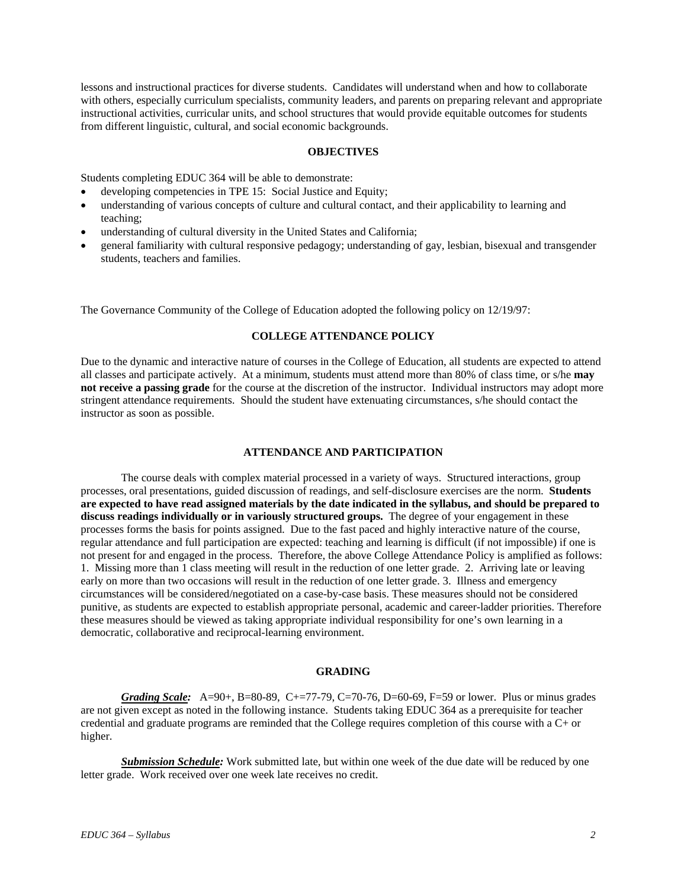lessons and instructional practices for diverse students. Candidates will understand when and how to collaborate with others, especially curriculum specialists, community leaders, and parents on preparing relevant and appropriate instructional activities, curricular units, and school structures that would provide equitable outcomes for students from different linguistic, cultural, and social economic backgrounds.

# **OBJECTIVES**

Students completing EDUC 364 will be able to demonstrate:

- developing competencies in TPE 15: Social Justice and Equity;
- understanding of various concepts of culture and cultural contact, and their applicability to learning and teaching;
- understanding of cultural diversity in the United States and California;
- general familiarity with cultural responsive pedagogy; understanding of gay, lesbian, bisexual and transgender students, teachers and families.

The Governance Community of the College of Education adopted the following policy on 12/19/97:

# **COLLEGE ATTENDANCE POLICY**

Due to the dynamic and interactive nature of courses in the College of Education, all students are expected to attend all classes and participate actively. At a minimum, students must attend more than 80% of class time, or s/he **may not receive a passing grade** for the course at the discretion of the instructor. Individual instructors may adopt more stringent attendance requirements. Should the student have extenuating circumstances, s/he should contact the instructor as soon as possible.

#### **ATTENDANCE AND PARTICIPATION**

The course deals with complex material processed in a variety of ways. Structured interactions, group processes, oral presentations, guided discussion of readings, and self-disclosure exercises are the norm. **Students are expected to have read assigned materials by the date indicated in the syllabus, and should be prepared to discuss readings individually or in variously structured groups.** The degree of your engagement in these processes forms the basis for points assigned. Due to the fast paced and highly interactive nature of the course, regular attendance and full participation are expected: teaching and learning is difficult (if not impossible) if one is not present for and engaged in the process. Therefore, the above College Attendance Policy is amplified as follows: 1. Missing more than 1 class meeting will result in the reduction of one letter grade. 2. Arriving late or leaving early on more than two occasions will result in the reduction of one letter grade. 3. Illness and emergency circumstances will be considered/negotiated on a case-by-case basis. These measures should not be considered punitive, as students are expected to establish appropriate personal, academic and career-ladder priorities. Therefore these measures should be viewed as taking appropriate individual responsibility for one's own learning in a democratic, collaborative and reciprocal-learning environment.

#### **GRADING**

*Grading Scale:* A=90+, B=80-89, C+=77-79, C=70-76, D=60-69, F=59 or lower. Plus or minus grades are not given except as noted in the following instance. Students taking EDUC 364 as a prerequisite for teacher credential and graduate programs are reminded that the College requires completion of this course with a C+ or higher.

 *Submission Schedule:* Work submitted late, but within one week of the due date will be reduced by one letter grade. Work received over one week late receives no credit.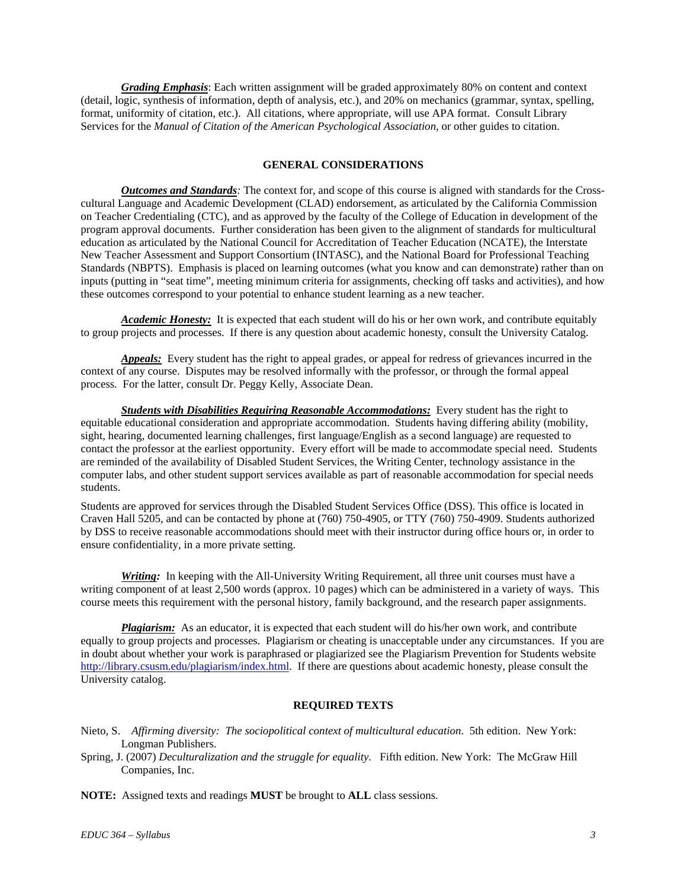*Grading Emphasis*: Each written assignment will be graded approximately 80% on content and context (detail, logic, synthesis of information, depth of analysis, etc.), and 20% on mechanics (grammar, syntax, spelling, format, uniformity of citation, etc.). All citations, where appropriate, will use APA format. Consult Library Services for the *Manual of Citation of the American Psychological Association*, or other guides to citation.

#### **GENERAL CONSIDERATIONS**

*Outcomes and Standards:* The context for, and scope of this course is aligned with standards for the Crosscultural Language and Academic Development (CLAD) endorsement, as articulated by the California Commission on Teacher Credentialing (CTC), and as approved by the faculty of the College of Education in development of the program approval documents. Further consideration has been given to the alignment of standards for multicultural education as articulated by the National Council for Accreditation of Teacher Education (NCATE), the Interstate New Teacher Assessment and Support Consortium (INTASC), and the National Board for Professional Teaching Standards (NBPTS). Emphasis is placed on learning outcomes (what you know and can demonstrate) rather than on inputs (putting in "seat time", meeting minimum criteria for assignments, checking off tasks and activities), and how these outcomes correspond to your potential to enhance student learning as a new teacher.

*Academic Honesty:* It is expected that each student will do his or her own work, and contribute equitably to group projects and processes. If there is any question about academic honesty, consult the University Catalog.

*Appeals:* Every student has the right to appeal grades, or appeal for redress of grievances incurred in the context of any course. Disputes may be resolved informally with the professor, or through the formal appeal process. For the latter, consult Dr. Peggy Kelly, Associate Dean.

*Students with Disabilities Requiring Reasonable Accommodations:* Every student has the right to equitable educational consideration and appropriate accommodation. Students having differing ability (mobility, sight, hearing, documented learning challenges, first language/English as a second language) are requested to contact the professor at the earliest opportunity. Every effort will be made to accommodate special need. Students are reminded of the availability of Disabled Student Services, the Writing Center, technology assistance in the computer labs, and other student support services available as part of reasonable accommodation for special needs students.

Students are approved for services through the Disabled Student Services Office (DSS). This office is located in Craven Hall 5205, and can be contacted by phone at (760) 750-4905, or TTY (760) 750-4909. Students authorized by DSS to receive reasonable accommodations should meet with their instructor during office hours or, in order to ensure confidentiality, in a more private setting.

*Writing:* In keeping with the All-University Writing Requirement, all three unit courses must have a writing component of at least 2,500 words (approx. 10 pages) which can be administered in a variety of ways. This course meets this requirement with the personal history, family background, and the research paper assignments.

*Plagiarism:* As an educator, it is expected that each student will do his/her own work, and contribute equally to group projects and processes. Plagiarism or cheating is unacceptable under any circumstances. If you are in doubt about whether your work is paraphrased or plagiarized see the Plagiarism Prevention for Students website http://library.csusm.edu/plagiarism/index.html. If there are questions about academic honesty, please consult the University catalog.

# **REQUIRED TEXTS**

Nieto, S. *Affirming diversity: The sociopolitical context of multicultural education*. 5th edition. New York: Longman Publishers.

Spring, J. (2007) *Deculturalization and the struggle for equality*. Fifth edition. New York: The McGraw Hill Companies, Inc.

**NOTE:** Assigned texts and readings **MUST** be brought to **ALL** class sessions.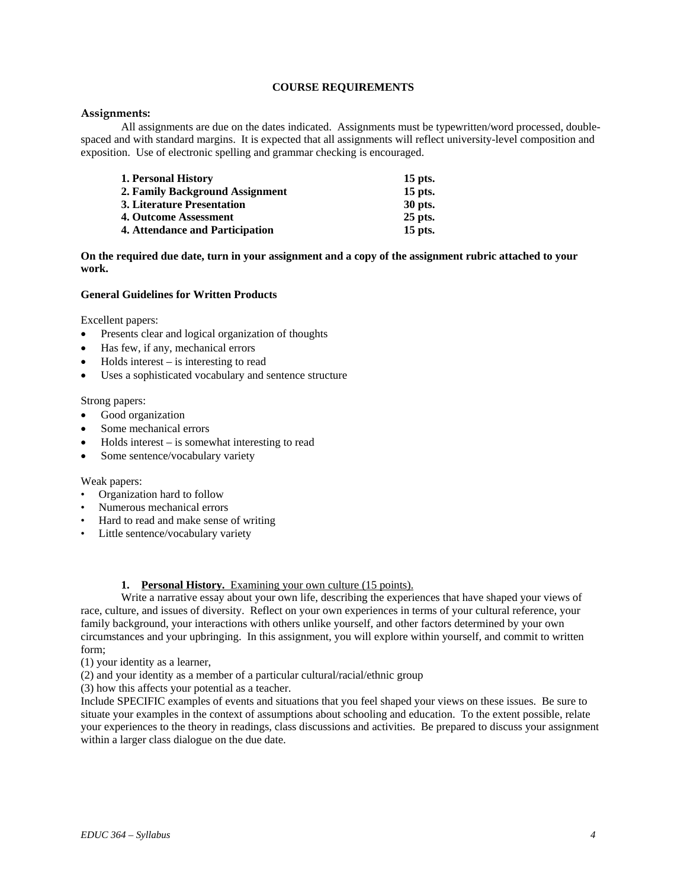# **COURSE REQUIREMENTS**

# **Assignments:**

 All assignments are due on the dates indicated. Assignments must be typewritten/word processed, doublespaced and with standard margins. It is expected that all assignments will reflect university-level composition and exposition. Use of electronic spelling and grammar checking is encouraged.

| 1. Personal History             | $15$ pts. |
|---------------------------------|-----------|
| 2. Family Background Assignment | $15$ pts. |
| 3. Literature Presentation      | 30 pts.   |
| 4. Outcome Assessment           | $25$ pts. |
| 4. Attendance and Participation | $15$ pts. |

**On the required due date, turn in your assignment and a copy of the assignment rubric attached to your work.** 

#### **General Guidelines for Written Products**

Excellent papers:

- Presents clear and logical organization of thoughts
- Has few, if any, mechanical errors
- $Holds$  interest is interesting to read
- Uses a sophisticated vocabulary and sentence structure

#### Strong papers:

- Good organization
- Some mechanical errors
- $Holds$  interest is somewhat interesting to read
- Some sentence/vocabulary variety

#### Weak papers:

- Organization hard to follow
- Numerous mechanical errors
- Hard to read and make sense of writing
- Little sentence/vocabulary variety

#### **1. Personal History.** Examining your own culture (15 points).

 Write a narrative essay about your own life, describing the experiences that have shaped your views of race, culture, and issues of diversity. Reflect on your own experiences in terms of your cultural reference, your family background, your interactions with others unlike yourself, and other factors determined by your own circumstances and your upbringing. In this assignment, you will explore within yourself, and commit to written form;

- (1) your identity as a learner,
- (2) and your identity as a member of a particular cultural/racial/ethnic group
- (3) how this affects your potential as a teacher.

Include SPECIFIC examples of events and situations that you feel shaped your views on these issues. Be sure to situate your examples in the context of assumptions about schooling and education. To the extent possible, relate your experiences to the theory in readings, class discussions and activities. Be prepared to discuss your assignment within a larger class dialogue on the due date.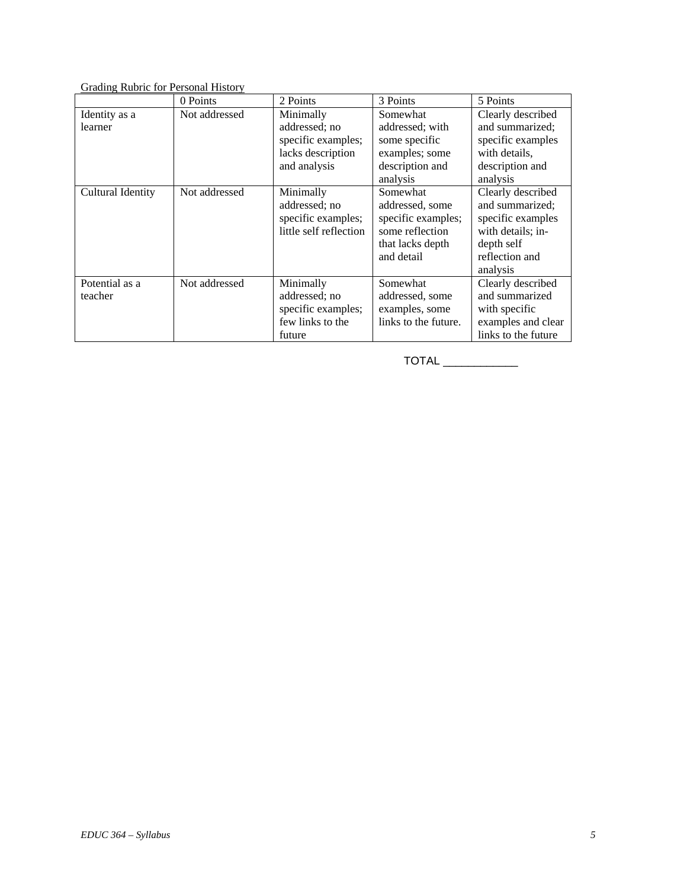# Grading Rubric for Personal History

|                           | 0 Points      | 2 Points                                                                              | 3 Points                                                                                               | 5 Points                                                                                                                   |
|---------------------------|---------------|---------------------------------------------------------------------------------------|--------------------------------------------------------------------------------------------------------|----------------------------------------------------------------------------------------------------------------------------|
| Identity as a<br>learner  | Not addressed | Minimally<br>addressed; no<br>specific examples;<br>lacks description<br>and analysis | Somewhat<br>addressed; with<br>some specific<br>examples; some<br>description and<br>analysis          | Clearly described<br>and summarized;<br>specific examples<br>with details,<br>description and<br>analysis                  |
| <b>Cultural Identity</b>  | Not addressed | Minimally<br>addressed; no<br>specific examples;<br>little self reflection            | Somewhat<br>addressed, some<br>specific examples;<br>some reflection<br>that lacks depth<br>and detail | Clearly described<br>and summarized;<br>specific examples<br>with details: in-<br>depth self<br>reflection and<br>analysis |
| Potential as a<br>teacher | Not addressed | Minimally<br>addressed; no<br>specific examples;<br>few links to the<br>future        | Somewhat<br>addressed, some<br>examples, some<br>links to the future.                                  | Clearly described<br>and summarized<br>with specific<br>examples and clear<br>links to the future                          |

TOTAL \_\_\_\_\_\_\_\_\_\_\_\_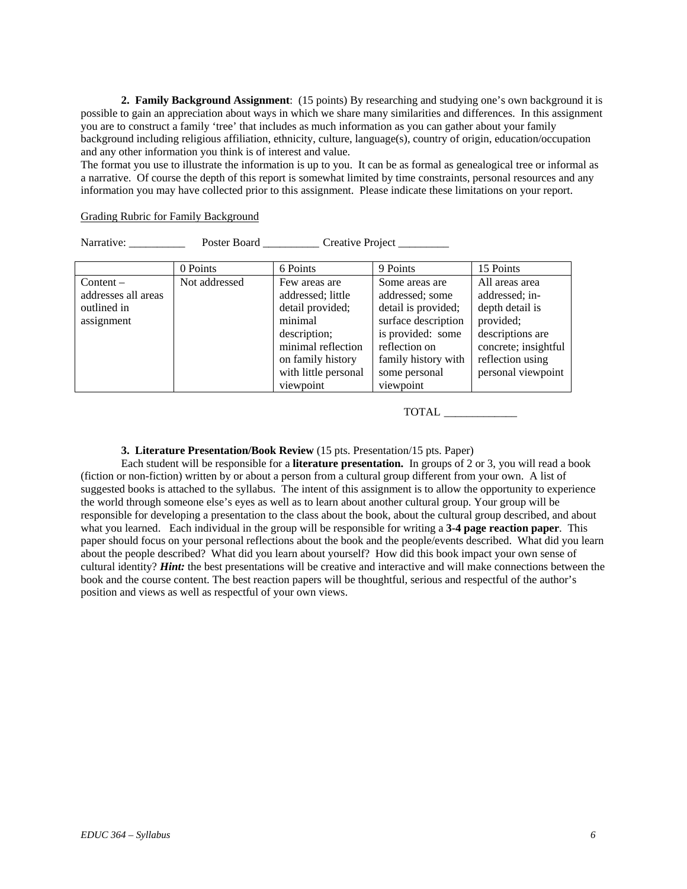**2. Family Background Assignment**: (15 points) By researching and studying one's own background it is possible to gain an appreciation about ways in which we share many similarities and differences. In this assignment you are to construct a family 'tree' that includes as much information as you can gather about your family background including religious affiliation, ethnicity, culture, language(s), country of origin, education/occupation and any other information you think is of interest and value.

The format you use to illustrate the information is up to you. It can be as formal as genealogical tree or informal as a narrative. Of course the depth of this report is somewhat limited by time constraints, personal resources and any information you may have collected prior to this assignment. Please indicate these limitations on your report.

#### Grading Rubric for Family Background

Narrative: Poster Board Creative Project

|                                                               | 0 Points      | 6 Points                                                                                                                                                          | 9 Points                                                                                                                                                                   | 15 Points                                                                                                                                              |
|---------------------------------------------------------------|---------------|-------------------------------------------------------------------------------------------------------------------------------------------------------------------|----------------------------------------------------------------------------------------------------------------------------------------------------------------------------|--------------------------------------------------------------------------------------------------------------------------------------------------------|
| Content –<br>addresses all areas<br>outlined in<br>assignment | Not addressed | Few areas are<br>addressed; little<br>detail provided;<br>minimal<br>description;<br>minimal reflection<br>on family history<br>with little personal<br>viewpoint | Some areas are<br>addressed; some<br>detail is provided;<br>surface description<br>is provided: some<br>reflection on<br>family history with<br>some personal<br>viewpoint | All areas area<br>addressed; in-<br>depth detail is<br>provided;<br>descriptions are<br>concrete; insightful<br>reflection using<br>personal viewpoint |

TOTAL \_\_\_\_\_\_\_\_\_\_\_\_\_

# **3. Literature Presentation/Book Review** (15 pts. Presentation/15 pts. Paper)

Each student will be responsible for a **literature presentation.** In groups of 2 or 3, you will read a book (fiction or non-fiction) written by or about a person from a cultural group different from your own. A list of suggested books is attached to the syllabus. The intent of this assignment is to allow the opportunity to experience the world through someone else's eyes as well as to learn about another cultural group. Your group will be responsible for developing a presentation to the class about the book, about the cultural group described, and about what you learned. Each individual in the group will be responsible for writing a **3-4 page reaction paper**. This paper should focus on your personal reflections about the book and the people/events described. What did you learn about the people described? What did you learn about yourself? How did this book impact your own sense of cultural identity? *Hint:* the best presentations will be creative and interactive and will make connections between the book and the course content. The best reaction papers will be thoughtful, serious and respectful of the author's position and views as well as respectful of your own views.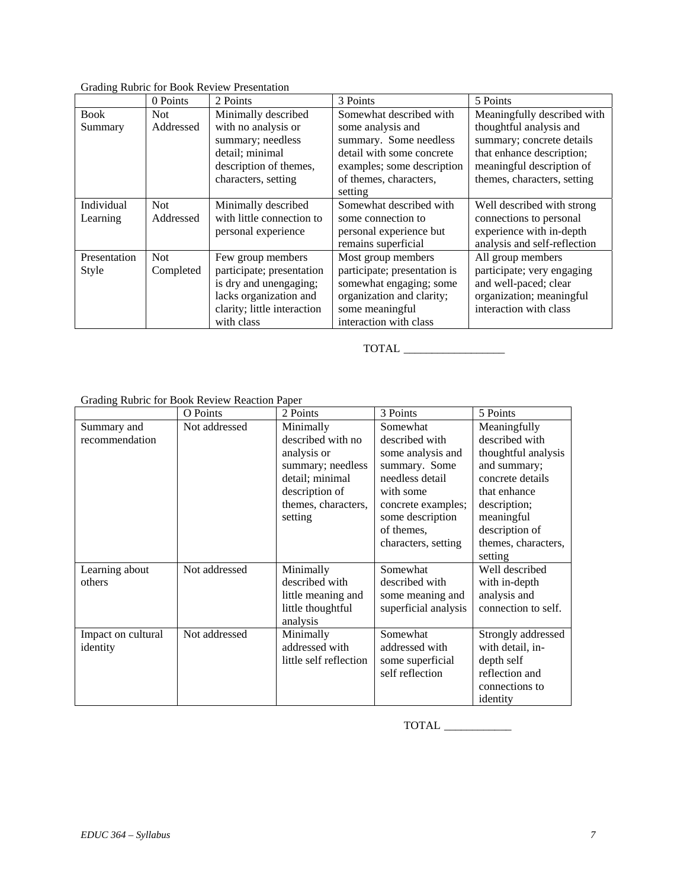# Grading Rubric for Book Review Presentation

|              | 0 Points   | 2 Points                    | 3 Points                     | 5 Points                     |
|--------------|------------|-----------------------------|------------------------------|------------------------------|
| <b>Book</b>  | Not.       | Minimally described         | Somewhat described with      | Meaningfully described with  |
| Summary      | Addressed  | with no analysis or         | some analysis and            | thoughtful analysis and      |
|              |            | summary; needless           | summary. Some needless       | summary; concrete details    |
|              |            | detail; minimal             | detail with some concrete    | that enhance description;    |
|              |            | description of themes,      | examples; some description   | meaningful description of    |
|              |            | characters, setting         | of themes, characters,       | themes, characters, setting  |
|              |            |                             | setting                      |                              |
| Individual   | <b>Not</b> | Minimally described         | Somewhat described with      | Well described with strong   |
| Learning     | Addressed  | with little connection to   | some connection to           | connections to personal      |
|              |            | personal experience         | personal experience but      | experience with in-depth     |
|              |            |                             | remains superficial          | analysis and self-reflection |
| Presentation | <b>Not</b> | Few group members           | Most group members           | All group members            |
| Style        | Completed  | participate; presentation   | participate; presentation is | participate; very engaging   |
|              |            | is dry and unengaging;      | somewhat engaging; some      | and well-paced; clear        |
|              |            | lacks organization and      | organization and clarity;    | organization; meaningful     |
|              |            | clarity; little interaction | some meaningful              | interaction with class       |
|              |            | with class                  | interaction with class       |                              |

TOTAL \_\_\_\_\_\_\_\_\_\_\_\_\_\_\_\_\_\_

Grading Rubric for Book Review Reaction Paper

|                    | O Points      | 2 Points               | 3 Points             | 5 Points            |
|--------------------|---------------|------------------------|----------------------|---------------------|
| Summary and        | Not addressed | Minimally              | Somewhat             | Meaningfully        |
| recommendation     |               | described with no      | described with       | described with      |
|                    |               | analysis or            | some analysis and    | thoughtful analysis |
|                    |               | summary; needless      | summary. Some        | and summary;        |
|                    |               | detail; minimal        | needless detail      | concrete details    |
|                    |               | description of         | with some            | that enhance        |
|                    |               | themes, characters,    | concrete examples;   | description;        |
|                    |               | setting                | some description     | meaningful          |
|                    |               |                        | of themes,           | description of      |
|                    |               |                        | characters, setting  | themes, characters, |
|                    |               |                        |                      | setting             |
| Learning about     | Not addressed | Minimally              | Somewhat             | Well described      |
| others             |               | described with         | described with       | with in-depth       |
|                    |               | little meaning and     | some meaning and     | analysis and        |
|                    |               | little thoughtful      | superficial analysis | connection to self. |
|                    |               | analysis               |                      |                     |
| Impact on cultural | Not addressed | Minimally              | Somewhat             | Strongly addressed  |
| identity           |               | addressed with         | addressed with       | with detail, in-    |
|                    |               | little self reflection | some superficial     | depth self          |
|                    |               |                        | self reflection      | reflection and      |
|                    |               |                        |                      | connections to      |
|                    |               |                        |                      | identity            |

TOTAL \_\_\_\_\_\_\_\_\_\_\_\_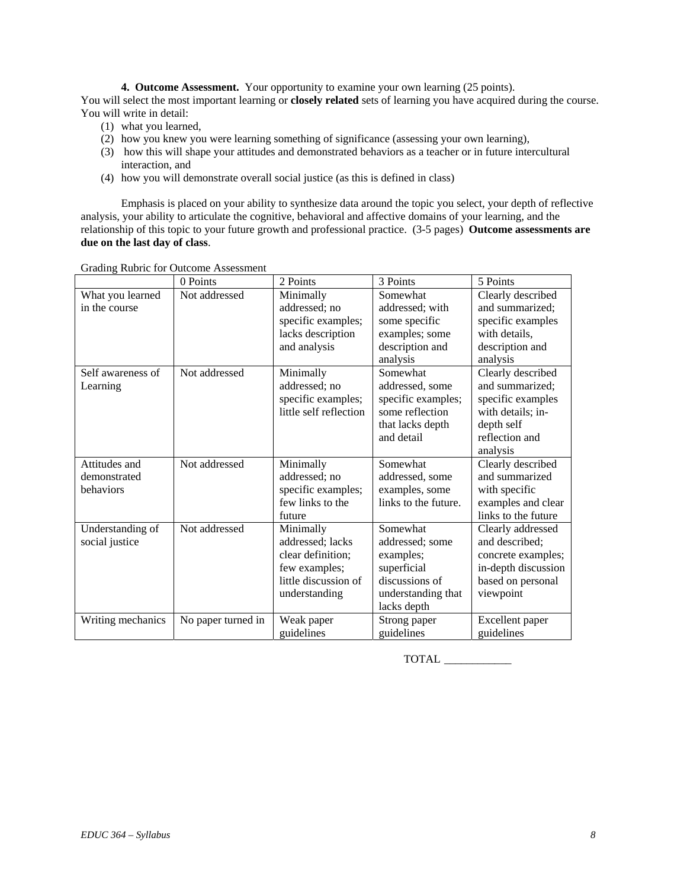**4. Outcome Assessment.** Your opportunity to examine your own learning (25 points). You will select the most important learning or **closely related** sets of learning you have acquired during the course. You will write in detail:

- (1) what you learned,
- (2) how you knew you were learning something of significance (assessing your own learning),
- (3) how this will shape your attitudes and demonstrated behaviors as a teacher or in future intercultural interaction, and
- (4) how you will demonstrate overall social justice (as this is defined in class)

Emphasis is placed on your ability to synthesize data around the topic you select, your depth of reflective analysis, your ability to articulate the cognitive, behavioral and affective domains of your learning, and the relationship of this topic to your future growth and professional practice. (3-5 pages) **Outcome assessments are due on the last day of class**.

|                                            | 0 Points           | 2 Points                                                                                                     | 3 Points                                                                                                       | 5 Points                                                                                                                   |
|--------------------------------------------|--------------------|--------------------------------------------------------------------------------------------------------------|----------------------------------------------------------------------------------------------------------------|----------------------------------------------------------------------------------------------------------------------------|
| What you learned<br>in the course          | Not addressed      | Minimally<br>addressed; no<br>specific examples;<br>lacks description<br>and analysis                        | Somewhat<br>addressed; with<br>some specific<br>examples; some<br>description and<br>analysis                  | Clearly described<br>and summarized;<br>specific examples<br>with details,<br>description and<br>analysis                  |
| Self awareness of<br>Learning              | Not addressed      | Minimally<br>addressed; no<br>specific examples;<br>little self reflection                                   | Somewhat<br>addressed, some<br>specific examples;<br>some reflection<br>that lacks depth<br>and detail         | Clearly described<br>and summarized;<br>specific examples<br>with details; in-<br>depth self<br>reflection and<br>analysis |
| Attitudes and<br>demonstrated<br>behaviors | Not addressed      | Minimally<br>addressed; no<br>specific examples;<br>few links to the<br>future                               | Somewhat<br>addressed, some<br>examples, some<br>links to the future.                                          | Clearly described<br>and summarized<br>with specific<br>examples and clear<br>links to the future                          |
| Understanding of<br>social justice         | Not addressed      | Minimally<br>addressed; lacks<br>clear definition;<br>few examples;<br>little discussion of<br>understanding | Somewhat<br>addressed: some<br>examples;<br>superficial<br>discussions of<br>understanding that<br>lacks depth | Clearly addressed<br>and described:<br>concrete examples;<br>in-depth discussion<br>based on personal<br>viewpoint         |
| Writing mechanics                          | No paper turned in | Weak paper<br>guidelines                                                                                     | Strong paper<br>guidelines                                                                                     | Excellent paper<br>guidelines                                                                                              |

Grading Rubric for Outcome Assessment

TOTAL \_\_\_\_\_\_\_\_\_\_\_\_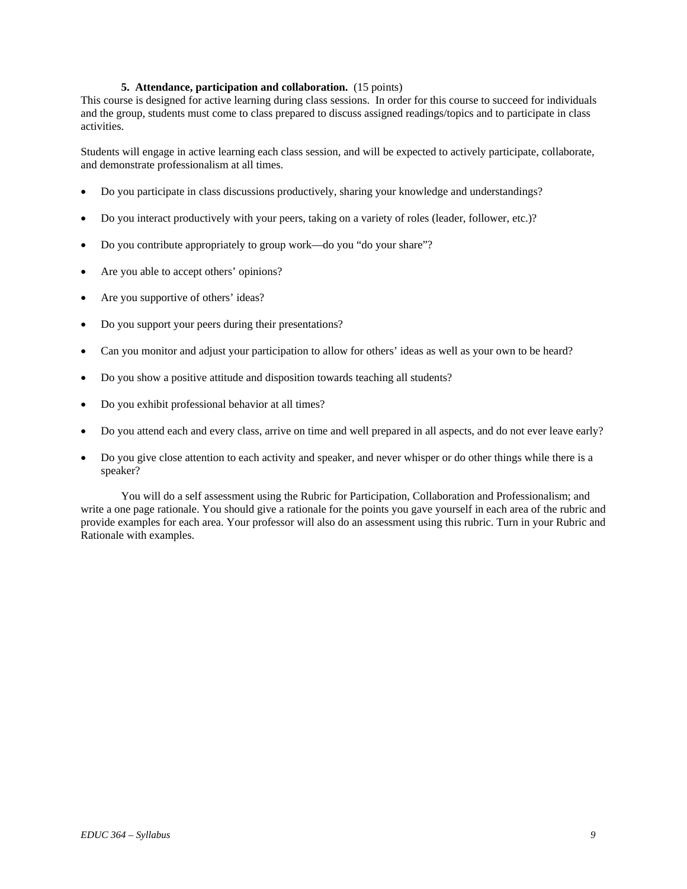# **5. Attendance, participation and collaboration.** (15 points)

This course is designed for active learning during class sessions. In order for this course to succeed for individuals and the group, students must come to class prepared to discuss assigned readings/topics and to participate in class activities.

Students will engage in active learning each class session, and will be expected to actively participate, collaborate, and demonstrate professionalism at all times.

- Do you participate in class discussions productively, sharing your knowledge and understandings?
- Do you interact productively with your peers, taking on a variety of roles (leader, follower, etc.)?
- Do you contribute appropriately to group work—do you "do your share"?
- Are you able to accept others' opinions?
- Are you supportive of others' ideas?
- Do you support your peers during their presentations?
- Can you monitor and adjust your participation to allow for others' ideas as well as your own to be heard?
- Do you show a positive attitude and disposition towards teaching all students?
- Do you exhibit professional behavior at all times?
- Do you attend each and every class, arrive on time and well prepared in all aspects, and do not ever leave early?
- Do you give close attention to each activity and speaker, and never whisper or do other things while there is a speaker?

 You will do a self assessment using the Rubric for Participation, Collaboration and Professionalism; and write a one page rationale. You should give a rationale for the points you gave yourself in each area of the rubric and provide examples for each area. Your professor will also do an assessment using this rubric. Turn in your Rubric and Rationale with examples.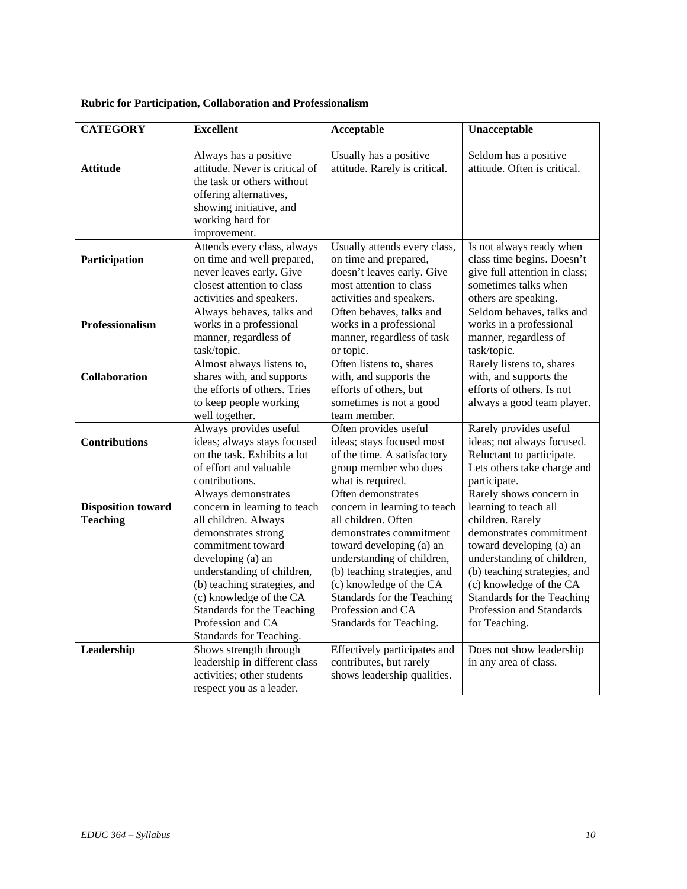| <b>CATEGORY</b>           | <b>Excellent</b>                                          | Acceptable                                              | Unacceptable                                          |
|---------------------------|-----------------------------------------------------------|---------------------------------------------------------|-------------------------------------------------------|
|                           |                                                           |                                                         |                                                       |
| <b>Attitude</b>           | Always has a positive<br>attitude. Never is critical of   | Usually has a positive<br>attitude. Rarely is critical. | Seldom has a positive<br>attitude. Often is critical. |
|                           | the task or others without                                |                                                         |                                                       |
|                           | offering alternatives,                                    |                                                         |                                                       |
|                           | showing initiative, and                                   |                                                         |                                                       |
|                           | working hard for                                          |                                                         |                                                       |
|                           | improvement.                                              |                                                         |                                                       |
|                           | Attends every class, always                               | Usually attends every class,                            | Is not always ready when                              |
| Participation             | on time and well prepared,                                | on time and prepared,                                   | class time begins. Doesn't                            |
|                           | never leaves early. Give                                  | doesn't leaves early. Give                              | give full attention in class;                         |
|                           | closest attention to class                                | most attention to class                                 | sometimes talks when                                  |
|                           | activities and speakers.                                  | activities and speakers.                                | others are speaking.                                  |
|                           | Always behaves, talks and                                 | Often behaves, talks and                                | Seldom behaves, talks and                             |
| Professionalism           | works in a professional                                   | works in a professional                                 | works in a professional                               |
|                           | manner, regardless of                                     | manner, regardless of task                              | manner, regardless of                                 |
|                           | task/topic.                                               | or topic.<br>Often listens to, shares                   | task/topic.                                           |
|                           | Almost always listens to,                                 |                                                         | Rarely listens to, shares<br>with, and supports the   |
| Collaboration             | shares with, and supports<br>the efforts of others. Tries | with, and supports the<br>efforts of others, but        | efforts of others. Is not                             |
|                           | to keep people working                                    | sometimes is not a good                                 | always a good team player.                            |
|                           | well together.                                            | team member.                                            |                                                       |
|                           | Always provides useful                                    | Often provides useful                                   | Rarely provides useful                                |
| <b>Contributions</b>      | ideas; always stays focused                               | ideas; stays focused most                               | ideas; not always focused.                            |
|                           | on the task. Exhibits a lot                               | of the time. A satisfactory                             | Reluctant to participate.                             |
|                           | of effort and valuable                                    | group member who does                                   | Lets others take charge and                           |
|                           | contributions.                                            | what is required.                                       | participate.                                          |
|                           | Always demonstrates                                       | Often demonstrates                                      | Rarely shows concern in                               |
| <b>Disposition toward</b> | concern in learning to teach                              | concern in learning to teach                            | learning to teach all                                 |
| <b>Teaching</b>           | all children. Always                                      | all children. Often                                     | children. Rarely                                      |
|                           | demonstrates strong                                       | demonstrates commitment                                 | demonstrates commitment                               |
|                           | commitment toward                                         | toward developing (a) an                                | toward developing (a) an                              |
|                           | developing (a) an                                         | understanding of children,                              | understanding of children,                            |
|                           | understanding of children,                                | (b) teaching strategies, and                            | (b) teaching strategies, and                          |
|                           | (b) teaching strategies, and                              | (c) knowledge of the CA                                 | (c) knowledge of the CA                               |
|                           | (c) knowledge of the CA                                   | Standards for the Teaching                              | Standards for the Teaching                            |
|                           | Standards for the Teaching                                | Profession and CA                                       | Profession and Standards                              |
|                           | Profession and CA                                         | Standards for Teaching.                                 | for Teaching.                                         |
|                           | Standards for Teaching.                                   |                                                         |                                                       |
| Leadership                | Shows strength through                                    | Effectively participates and                            | Does not show leadership                              |
|                           | leadership in different class                             | contributes, but rarely                                 | in any area of class.                                 |
|                           | activities; other students                                | shows leadership qualities.                             |                                                       |
|                           | respect you as a leader.                                  |                                                         |                                                       |

# **Rubric for Participation, Collaboration and Professionalism**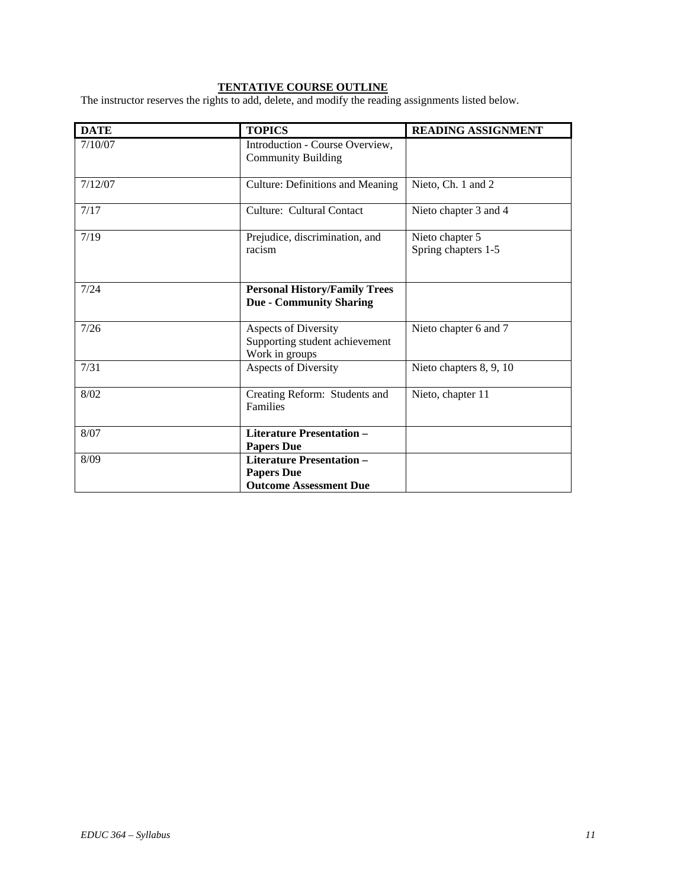# **TENTATIVE COURSE OUTLINE**

The instructor reserves the rights to add, delete, and modify the reading assignments listed below.

| <b>DATE</b> | <b>TOPICS</b>                                                                          | <b>READING ASSIGNMENT</b>              |
|-------------|----------------------------------------------------------------------------------------|----------------------------------------|
| 7/10/07     | Introduction - Course Overview,<br><b>Community Building</b>                           |                                        |
| 7/12/07     | <b>Culture: Definitions and Meaning</b>                                                | Nieto, Ch. 1 and 2                     |
| 7/17        | Culture: Cultural Contact                                                              | Nieto chapter 3 and 4                  |
| 7/19        | Prejudice, discrimination, and<br>racism                                               | Nieto chapter 5<br>Spring chapters 1-5 |
| 7/24        | <b>Personal History/Family Trees</b><br><b>Due - Community Sharing</b>                 |                                        |
| 7/26        | <b>Aspects of Diversity</b><br>Supporting student achievement<br>Work in groups        | Nieto chapter 6 and 7                  |
| 7/31        | <b>Aspects of Diversity</b>                                                            | Nieto chapters 8, 9, 10                |
| 8/02        | Creating Reform: Students and<br>Families                                              | Nieto, chapter 11                      |
| 8/07        | <b>Literature Presentation -</b><br><b>Papers Due</b>                                  |                                        |
| 8/09        | <b>Literature Presentation -</b><br><b>Papers Due</b><br><b>Outcome Assessment Due</b> |                                        |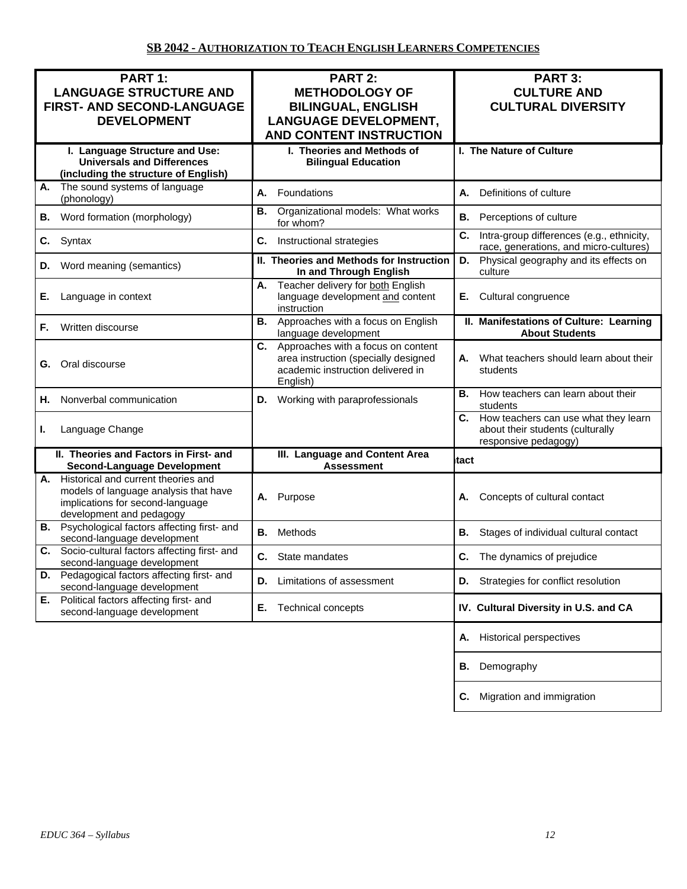| PART 1:<br><b>LANGUAGE STRUCTURE AND</b><br>FIRST- AND SECOND-LANGUAGE<br><b>DEVELOPMENT</b>                                                    | <b>PART 2:</b><br><b>METHODOLOGY OF</b><br><b>BILINGUAL, ENGLISH</b><br><b>LANGUAGE DEVELOPMENT,</b><br><b>AND CONTENT INSTRUCTION</b> | PART 3:<br><b>CULTURE AND</b><br><b>CULTURAL DIVERSITY</b>                                          |
|-------------------------------------------------------------------------------------------------------------------------------------------------|----------------------------------------------------------------------------------------------------------------------------------------|-----------------------------------------------------------------------------------------------------|
| I. Language Structure and Use:<br><b>Universals and Differences</b><br>(including the structure of English)                                     | I. Theories and Methods of<br><b>Bilingual Education</b>                                                                               | I. The Nature of Culture                                                                            |
| The sound systems of language<br>А.<br>(phonology)                                                                                              | А.<br>Foundations                                                                                                                      | А.<br>Definitions of culture                                                                        |
| Word formation (morphology)<br>В.                                                                                                               | Organizational models: What works<br>В.<br>for whom?                                                                                   | В.<br>Perceptions of culture                                                                        |
| Syntax<br>C.                                                                                                                                    | C.<br>Instructional strategies                                                                                                         | C.<br>Intra-group differences (e.g., ethnicity,<br>race, generations, and micro-cultures)           |
| Word meaning (semantics)<br>D.                                                                                                                  | II. Theories and Methods for Instruction<br>In and Through English                                                                     | Physical geography and its effects on<br>D.<br>culture                                              |
| Language in context<br>Е.                                                                                                                       | Teacher delivery for both English<br>А.<br>language development and content<br>instruction                                             | Cultural congruence<br>Е.                                                                           |
| Written discourse<br>F.                                                                                                                         | Approaches with a focus on English<br>В.<br>language development                                                                       | II. Manifestations of Culture: Learning<br><b>About Students</b>                                    |
| Oral discourse<br>G.                                                                                                                            | C.<br>Approaches with a focus on content<br>area instruction (specially designed<br>academic instruction delivered in<br>English)      | What teachers should learn about their<br>А.<br>students                                            |
| Nonverbal communication<br>Н.                                                                                                                   | Working with paraprofessionals<br>D.                                                                                                   | How teachers can learn about their<br>В.<br>students                                                |
| Language Change<br>ı.                                                                                                                           |                                                                                                                                        | C. How teachers can use what they learn<br>about their students (culturally<br>responsive pedagogy) |
| II. Theories and Factors in First- and<br><b>Second-Language Development</b>                                                                    | III. Language and Content Area<br><b>Assessment</b>                                                                                    | <b>Itact</b>                                                                                        |
| A. Historical and current theories and<br>models of language analysis that have<br>implications for second-language<br>development and pedagogy | Purpose<br>А.                                                                                                                          | Concepts of cultural contact<br>А.                                                                  |
| <b>B.</b> Psychological factors affecting first- and<br>second-language development                                                             | В.<br>Methods                                                                                                                          | В.<br>Stages of individual cultural contact                                                         |
| Socio-cultural factors affecting first- and<br>C.<br>second-language development                                                                | C. State mandates                                                                                                                      | C. The dynamics of prejudice                                                                        |
| Pedagogical factors affecting first- and<br>D.<br>second-language development                                                                   | Limitations of assessment<br>D.                                                                                                        | Strategies for conflict resolution<br>D.                                                            |
| Political factors affecting first- and<br>Е.<br>second-language development                                                                     | Е.<br><b>Technical concepts</b>                                                                                                        | IV. Cultural Diversity in U.S. and CA                                                               |
|                                                                                                                                                 |                                                                                                                                        | <b>Historical perspectives</b><br>Α.                                                                |
|                                                                                                                                                 |                                                                                                                                        | Demography<br>В.                                                                                    |
|                                                                                                                                                 |                                                                                                                                        | Migration and immigration<br>С.                                                                     |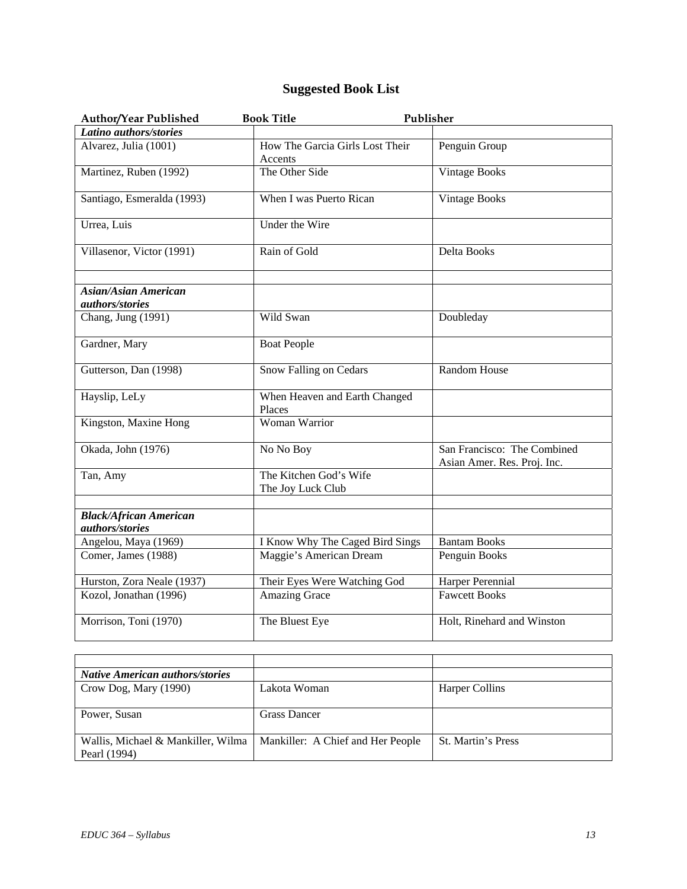# **Suggested Book List**

| Author/Year Published                            | <b>Book Title</b>                           | Publisher                                                  |
|--------------------------------------------------|---------------------------------------------|------------------------------------------------------------|
| Latino authors/stories                           |                                             |                                                            |
| Alvarez, Julia (1001)                            | How The Garcia Girls Lost Their<br>Accents  | Penguin Group                                              |
| Martinez, Ruben (1992)                           | The Other Side                              | Vintage Books                                              |
| Santiago, Esmeralda (1993)                       | When I was Puerto Rican                     | <b>Vintage Books</b>                                       |
| Urrea, Luis                                      | Under the Wire                              |                                                            |
| Villasenor, Victor (1991)                        | Rain of Gold                                | Delta Books                                                |
| <b>Asian/Asian American</b><br>authors/stories   |                                             |                                                            |
| Chang, Jung (1991)                               | Wild Swan                                   | Doubleday                                                  |
| Gardner, Mary                                    | <b>Boat People</b>                          |                                                            |
| Gutterson, Dan (1998)                            | Snow Falling on Cedars                      | Random House                                               |
| Hayslip, LeLy                                    | When Heaven and Earth Changed<br>Places     |                                                            |
| Kingston, Maxine Hong                            | Woman Warrior                               |                                                            |
| Okada, John (1976)                               | No No Boy                                   | San Francisco: The Combined<br>Asian Amer. Res. Proj. Inc. |
| Tan, Amy                                         | The Kitchen God's Wife<br>The Joy Luck Club |                                                            |
| <b>Black/African American</b><br>authors/stories |                                             |                                                            |
| Angelou, Maya (1969)                             | I Know Why The Caged Bird Sings             | <b>Bantam Books</b>                                        |
| Comer, James (1988)                              | Maggie's American Dream                     | Penguin Books                                              |
| Hurston, Zora Neale (1937)                       | Their Eyes Were Watching God                | Harper Perennial                                           |
| Kozol, Jonathan (1996)                           | <b>Amazing Grace</b>                        | <b>Fawcett Books</b>                                       |
| Morrison, Toni (1970)                            | The Bluest Eye                              | Holt, Rinehard and Winston                                 |

| <b>Native American authors/stories</b>                                 |                     |                           |
|------------------------------------------------------------------------|---------------------|---------------------------|
| Crow Dog, Mary (1990)                                                  | Lakota Woman        | Harper Collins            |
|                                                                        |                     |                           |
| Power, Susan                                                           | <b>Grass Dancer</b> |                           |
|                                                                        |                     |                           |
| Wallis, Michael & Mankiller, Wilma   Mankiller: A Chief and Her People |                     | <b>St. Martin's Press</b> |
| Pearl (1994)                                                           |                     |                           |